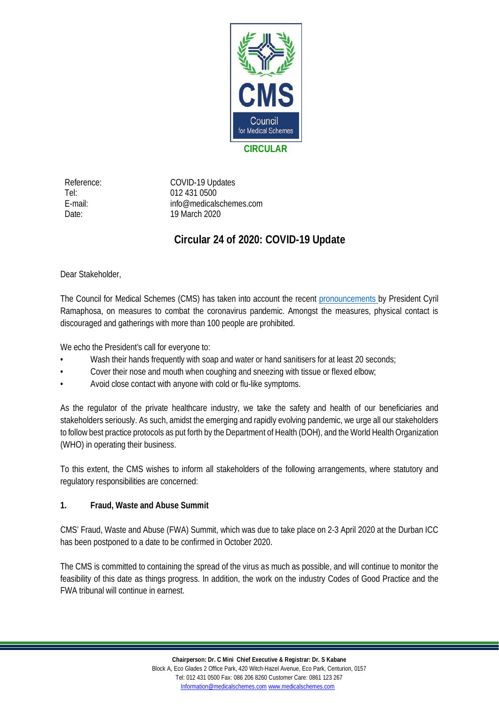

Reference: COVID-19 Updates Tel: 012 431 0500 E-mail: info@medicalschemes.com Date: 19 March 2020

## **Circular 24 of 2020: COVID-19 Update**

Dear Stakeholder,

The Council for Medical Schemes (CMS) has taken into account the recent [pronouncements](https://www.gov.za/speeches/statement-president-cyril-ramaphosa-measures-combat-covid-19-epidemic-15-mar-2020-0000) by President Cyril Ramaphosa, on measures to combat the coronavirus pandemic. Amongst the measures, physical contact is discouraged and gatherings with more than 100 people are prohibited.

We echo the President's call for everyone to:

- Wash their hands frequently with soap and water or hand sanitisers for at least 20 seconds;
- Cover their nose and mouth when coughing and sneezing with tissue or flexed elbow;
- Avoid close contact with anyone with cold or flu-like symptoms.

As the regulator of the private healthcare industry, we take the safety and health of our beneficiaries and stakeholders seriously. As such, amidst the emerging and rapidly evolving pandemic, we urge all our stakeholders to follow best practice protocols as put forth by the Department of Health (DOH), and the World Health Organization (WHO) in operating their business.

To this extent, the CMS wishes to inform all stakeholders of the following arrangements, where statutory and regulatory responsibilities are concerned:

**1. Fraud, Waste and Abuse Summit**

CMS' Fraud, Waste and Abuse (FWA) Summit, which was due to take place on 2-3 April 2020 at the Durban ICC has been postponed to a date to be confirmed in October 2020.

The CMS is committed to containing the spread of the virus as much as possible, and will continue to monitor the feasibility of this date as things progress. In addition, the work on the industry Codes of Good Practice and the FWA tribunal will continue in earnest.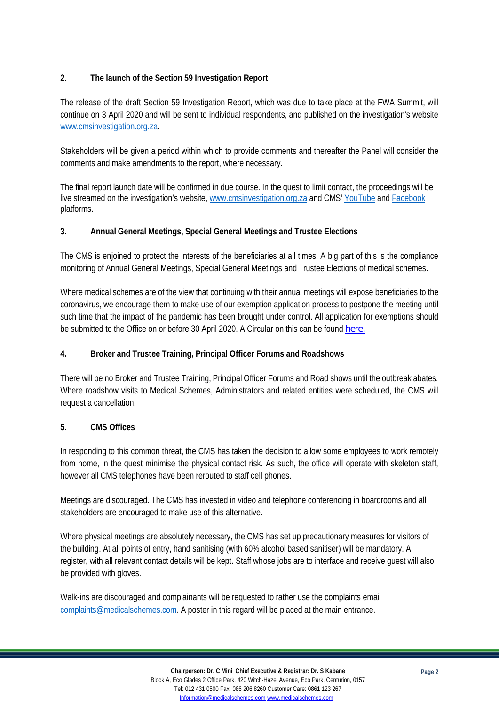## <span id="page-1-0"></span>**2. The launch of the Section 59 Investigation Report**

The release of the draft Section 59 Investigation Report, which was due to take place at the FWA Summit, will continue on 3 April 2020 and will be sent to individual respondents, and published on the investigation's website [www.cmsinvestigation.org.za](http://www.cmsinvestigation.org.za/).

Stakeholders will be given a period within which to provide comments and thereafter the Panel will consider the comments and make amendments to the report, where necessary.

The final report launch date will be confirmed in due course. In the quest to limit contact, the proceedings will be live streamed on the investigation's website, [www.cmsinvestigation.org.za](http://www.cmsinvestigation.org.za/) and CMS' [YouTube](http://www.youtube.com/CMSCares4u) and [Facebook](https://www.facebook.com/CouncilforMedicalSchemes/?ref=bookmarks) platforms.

**3. Annual General Meetings, Special General Meetings and Trustee Elections**

The CMS is enjoined to protect the interests of the beneficiaries at all times. A big part of this is the compliance monitoring of Annual General Meetings, Special General Meetings and Trustee Elections of medical schemes.

Where medical schemes are of the view that continuing with their annual meetings will expose beneficiaries to the coronavirus, we encourage them to make use of our exemption application process to postpone the meeting until such time that the impact of the pandemic has been brought under control. All application for exemptions should be submitted to the Office on or before 30 April 2020. A Circular on this can be found [here.](https://www.medicalschemes.com/files/Circulars/Circular23of2020.pdf)

**4. Broker and Trustee Training, Principal Officer Forums and Roadshows**

There will be no Broker and Trustee Training, Principal Officer Forums and Road shows until the outbreak abates. Where roadshow visits to Medical Schemes, Administrators and related entities were scheduled, the CMS will request a cancellation.

## **5. CMS Offices**

In responding to this common threat, the CMS has taken the decision to allow some employees to work remotely from home, in the quest minimise the physical contact risk. As such, the office will operate with skeleton staff, however all CMS telephones have been rerouted to staff cell phones.

Meetings are discouraged. The CMS has invested in video and telephone conferencing in boardrooms and all stakeholders are encouraged to make use of this alternative.

Where physical meetings are absolutely necessary, the CMS has set up precautionary measures for visitors of the building. At all points of entry, hand sanitising (with 60% alcohol based sanitiser) will be mandatory. A register, with all relevant contact details will be kept. Staff whose jobs are to interface and receive guest will also be provided with gloves.

Walk-ins are discouraged and complainants will be requested to rather use the complaints email [complaints@medicalschemes.com.](mailto:complaints@medicalschemes.com) A poster in this regard will be placed at the main entrance.